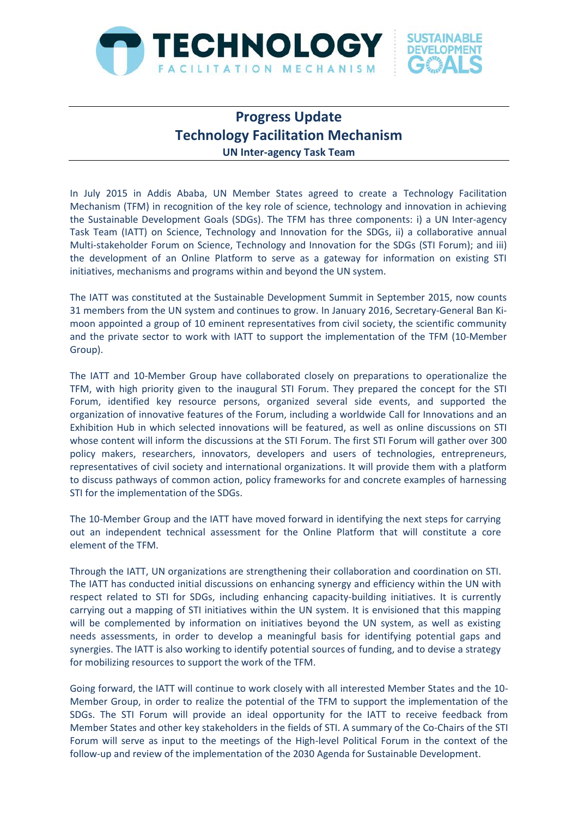

## **Progress Update Technology Facilitation Mechanism UN Inter-agency Task Team**

In July 2015 in Addis Ababa, UN Member States agreed to create a Technology Facilitation Mechanism (TFM) in recognition of the key role of science, technology and innovation in achieving the Sustainable Development Goals (SDGs). The TFM has three components: i) a UN Inter-agency Task Team (IATT) on Science, Technology and Innovation for the SDGs, ii) a collaborative annual Multi-stakeholder Forum on Science, Technology and Innovation for the SDGs (STI Forum); and iii) the development of an Online Platform to serve as a gateway for information on existing STI initiatives, mechanisms and programs within and beyond the UN system.

The IATT was constituted at the Sustainable Development Summit in September 2015, now counts 31 members from the UN system and continues to grow. In January 2016, Secretary-General Ban Kimoon appointed a group of 10 eminent representatives from civil society, the scientific community and the private sector to work with IATT to support the implementation of the TFM (10-Member Group).

The IATT and 10-Member Group have collaborated closely on preparations to operationalize the TFM, with high priority given to the inaugural STI Forum. They prepared the concept for the STI Forum, identified key resource persons, organized several side events, and supported the organization of innovative features of the Forum, including a worldwide Call for Innovations and an Exhibition Hub in which selected innovations will be featured, as well as online discussions on STI whose content will inform the discussions at the STI Forum. The first STI Forum will gather over 300 policy makers, researchers, innovators, developers and users of technologies, entrepreneurs, representatives of civil society and international organizations. It will provide them with a platform to discuss pathways of common action, policy frameworks for and concrete examples of harnessing STI for the implementation of the SDGs.

The 10-Member Group and the IATT have moved forward in identifying the next steps for carrying out an independent technical assessment for the Online Platform that will constitute a core element of the TFM.

Through the IATT, UN organizations are strengthening their collaboration and coordination on STI. The IATT has conducted initial discussions on enhancing synergy and efficiency within the UN with respect related to STI for SDGs, including enhancing capacity-building initiatives. It is currently carrying out a mapping of STI initiatives within the UN system. It is envisioned that this mapping will be complemented by information on initiatives beyond the UN system, as well as existing needs assessments, in order to develop a meaningful basis for identifying potential gaps and synergies. The IATT is also working to identify potential sources of funding, and to devise a strategy for mobilizing resources to support the work of the TFM.

Going forward, the IATT will continue to work closely with all interested Member States and the 10- Member Group, in order to realize the potential of the TFM to support the implementation of the SDGs. The STI Forum will provide an ideal opportunity for the IATT to receive feedback from Member States and other key stakeholders in the fields of STI. A summary of the Co-Chairs of the STI Forum will serve as input to the meetings of the High-level Political Forum in the context of the follow-up and review of the implementation of the 2030 Agenda for Sustainable Development.